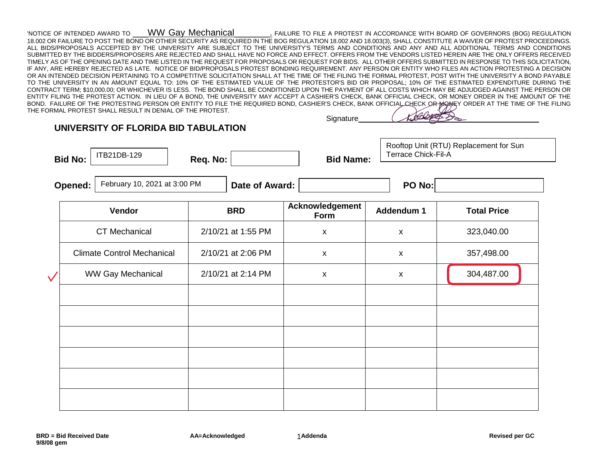'NOTICE OF INTENDED AWARD TO \_\_\_WW Gay Mechanical\_\_\_\_\_\_\_. FAILURE TO FILE A PROTEST IN ACCORDANCE WITH BOARD OF GOVERNORS (BOG) REGULATION 18.002 OR FAILURE TO POST THE BOND OR OTHER SECURITY AS REQUIRED IN THE BOG REGULATION 18.002 AND 18.003(3), SHALL CONSTITUTE A WAIVER OF PROTEST PROCEEDINGS. ALL BIDS/PROPOSALS ACCEPTED BY THE UNIVERSITY ARE SUBJECT TO THE UNIVERSITY'S TERMS AND CONDITIONS AND ANY AND ALL ADDITIONAL TERMS AND CONDITIONS SUBMITTED BY THE BIDDERS/PROPOSERS ARE REJECTED AND SHALL HAVE NO FORCE AND EFFECT. OFFERS FROM THE VENDORS LISTED HEREIN ARE THE ONLY OFFERS RECEIVED TIMELY AS OF THE OPENING DATE AND TIME LISTED IN THE REQUEST FOR PROPOSALS OR REQUEST FOR BIDS. ALL OTHER OFFERS SUBMITTED IN RESPONSE TO THIS SOLICITATION, IF ANY, ARE HEREBY REJECTED AS LATE. NOTICE OF BID/PROPOSALS PROTEST BONDING REQUIREMENT. ANY PERSON OR ENTITY WHO FILES AN ACTION PROTESTING A DECISION OR AN INTENDED DECISION PERTAINING TO A COMPETITIVE SOLICITATION SHALL AT THE TIME OF THE FILING THE FORMAL PROTEST, POST WITH THE UNIVERSITY A BOND PAYABLE TO THE UNIVERSITY IN AN AMOUNT EQUAL TO: 10% OF THE ESTIMATED VALUE OF THE PROTESTOR'S BID OR PROPOSAL; 10% OF THE ESTIMATED EXPENDITURE DURING THE CONTRACT TERM; \$10,000.00; OR WHICHEVER IS LESS. THE BOND SHALL BE CONDITIONED UPON THE PAYMENT OF ALL COSTS WHICH MAY BE ADJUDGED AGAINST THE PERSON OR ENTITY FILING THE PROTEST ACTION. IN LIEU OF A BOND, THE UNIVERSITY MAY ACCEPT A CASHIER'S CHECK, BANK OFFICIAL CHECK, OR MONEY ORDER IN THE AMOUNT OF THE BOND. FAILURE OF THE PROTESTING PERSON OR ENTITY TO FILE THE REQUIRED BOND, CASHIER'S CHECK, BANK OFFICIAL CHECK OR MONEY ORDER AT THE TIME OF THE FILING THE FORMAL PROTEST SHALL RESULT IN DENIAL OF THE PROTEST.

## **Signature**

**UNIVERSITY OF FLORIDA BID TABULATION** 

ITB21DB-129

**Bid No: Req. No: Bid Name:** 

Rooftop Unit (RTU) Replacement for Sun Terrace Chick-Fil-A

**Opened:** February 10, 2021 at 3:00 PM  $\blacksquare$  **Date of Award:**  $\blacksquare$  **PO No: PO No:** 

| <b>-O No:</b> |  |
|---------------|--|
|               |  |

|              | Vendor                            | <b>BRD</b>         | Acknowledgement<br>Form   | Addendum 1         | <b>Total Price</b> |
|--------------|-----------------------------------|--------------------|---------------------------|--------------------|--------------------|
|              | <b>CT Mechanical</b>              | 2/10/21 at 1:55 PM | $\pmb{\mathsf{X}}$        | $\pmb{\mathsf{x}}$ | 323,040.00         |
|              | <b>Climate Control Mechanical</b> | 2/10/21 at 2:06 PM | $\pmb{\mathsf{X}}$        | $\pmb{\mathsf{X}}$ | 357,498.00         |
| $\checkmark$ | <b>WW Gay Mechanical</b>          | 2/10/21 at 2:14 PM | $\boldsymbol{\mathsf{X}}$ | X                  | 304,487.00         |
|              |                                   |                    |                           |                    |                    |
|              |                                   |                    |                           |                    |                    |
|              |                                   |                    |                           |                    |                    |
|              |                                   |                    |                           |                    |                    |
|              |                                   |                    |                           |                    |                    |
|              |                                   |                    |                           |                    |                    |